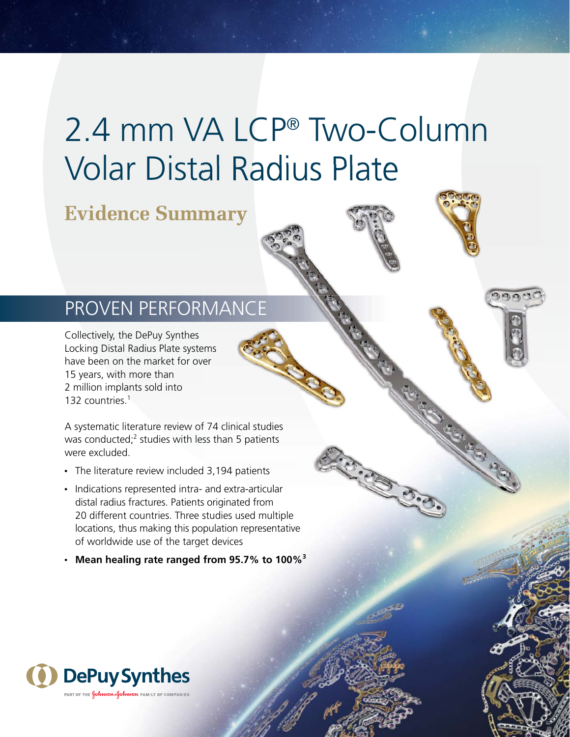# 2.4 mm VA LCP® Two-Column Volar Distal Radius Plate

## **Evidence Summary**

### PROVEN PERFORMANCE

Collectively, the DePuy Synthes Locking Distal Radius Plate systems have been on the market for over 15 years, with more than 2 million implants sold into 132 countries.<sup>1</sup>

A systematic literature review of 74 clinical studies was conducted; $^2$  studies with less than 5 patients were excluded.

- The literature review included 3,194 patients
- Indications represented intra- and extra-articular distal radius fractures. Patients originated from 20 different countries. Three studies used multiple locations, thus making this population representative of worldwide use of the target devices
- **Mean healing rate ranged from 95.7% to 100%3**